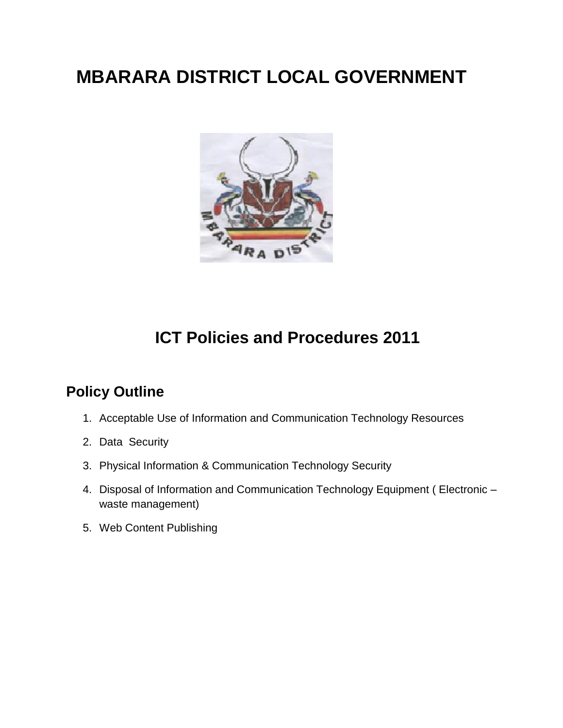# **MBARARA DISTRICT LOCAL GOVERNMENT**



# **ICT Policies and Procedures 2011**

# **Policy Outline**

- 1. Acceptable Use of Information and Communication Technology Resources
- 2. Data Security
- 3. Physical Information & Communication Technology Security
- 4. Disposal of Information and Communication Technology Equipment ( Electronic waste management)
- 5. Web Content Publishing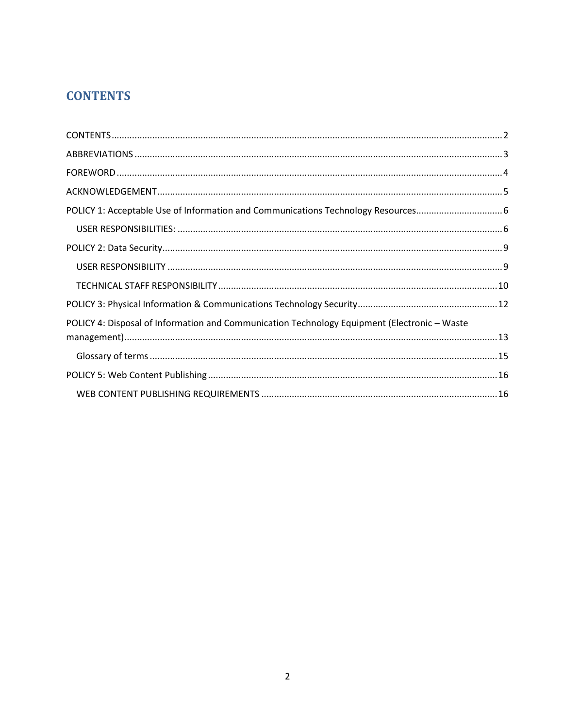## <span id="page-1-0"></span>**CONTENTS**

| POLICY 4: Disposal of Information and Communication Technology Equipment (Electronic - Waste |  |
|----------------------------------------------------------------------------------------------|--|
|                                                                                              |  |
|                                                                                              |  |
|                                                                                              |  |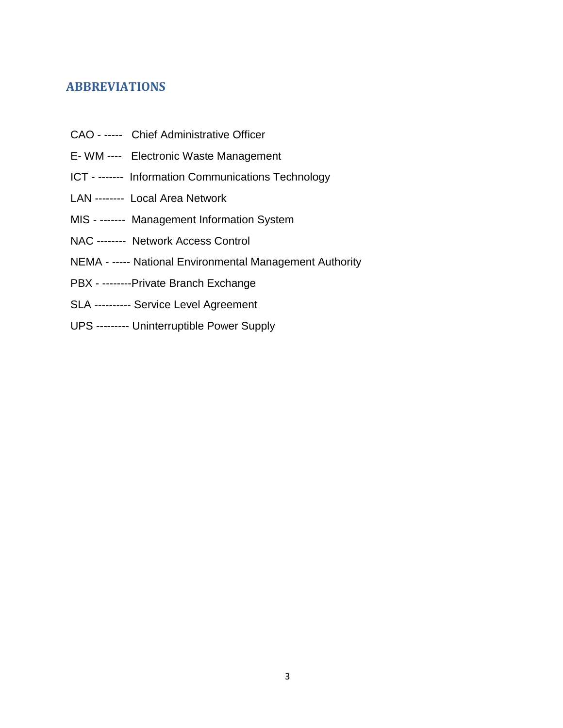### <span id="page-2-0"></span>**ABBREVIATIONS**

- CAO ----- Chief Administrative Officer
- E- WM ---- Electronic Waste Management
- ICT ------- Information Communications Technology
- LAN -------- Local Area Network
- MIS ------- Management Information System
- NAC -------- Network Access Control
- NEMA ----- National Environmental Management Authority
- PBX --------Private Branch Exchange
- SLA ---------- Service Level Agreement
- UPS --------- Uninterruptible Power Supply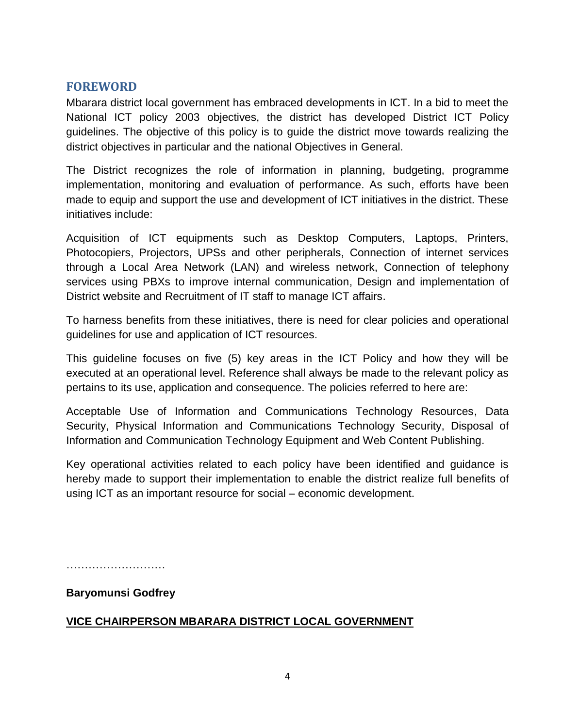#### <span id="page-3-0"></span>**FOREWORD**

Mbarara district local government has embraced developments in ICT. In a bid to meet the National ICT policy 2003 objectives, the district has developed District ICT Policy guidelines. The objective of this policy is to guide the district move towards realizing the district objectives in particular and the national Objectives in General.

The District recognizes the role of information in planning, budgeting, programme implementation, monitoring and evaluation of performance. As such, efforts have been made to equip and support the use and development of ICT initiatives in the district. These initiatives include:

Acquisition of ICT equipments such as Desktop Computers, Laptops, Printers, Photocopiers, Projectors, UPSs and other peripherals, Connection of internet services through a Local Area Network (LAN) and wireless network, Connection of telephony services using PBXs to improve internal communication, Design and implementation of District website and Recruitment of IT staff to manage ICT affairs.

To harness benefits from these initiatives, there is need for clear policies and operational guidelines for use and application of ICT resources.

This guideline focuses on five (5) key areas in the ICT Policy and how they will be executed at an operational level. Reference shall always be made to the relevant policy as pertains to its use, application and consequence. The policies referred to here are:

Acceptable Use of Information and Communications Technology Resources, Data Security, Physical Information and Communications Technology Security, Disposal of Information and Communication Technology Equipment and Web Content Publishing.

Key operational activities related to each policy have been identified and guidance is hereby made to support their implementation to enable the district realize full benefits of using ICT as an important resource for social – economic development.

………………………

#### **Baryomunsi Godfrey**

#### **VICE CHAIRPERSON MBARARA DISTRICT LOCAL GOVERNMENT**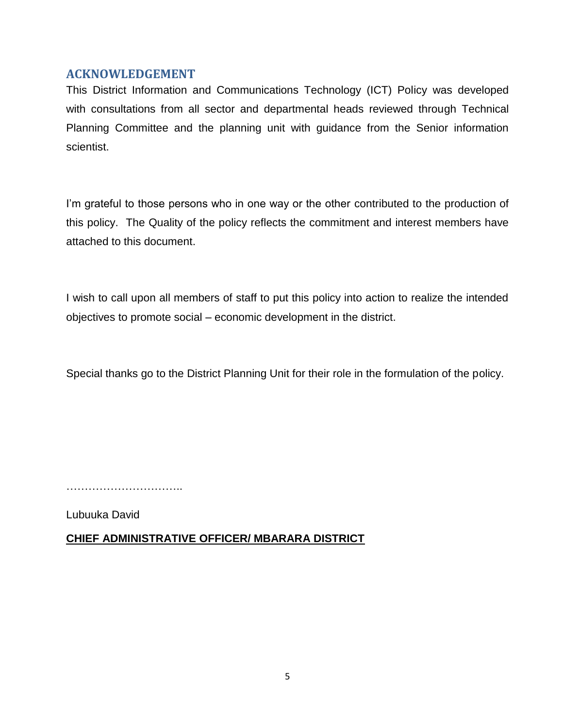#### **ACKNOWLEDGEMENT**

<span id="page-4-0"></span>This District Information and Communications Technology (ICT) Policy was developed with consultations from all sector and departmental heads reviewed through Technical Planning Committee and the planning unit with guidance from the Senior information scientist.

I'm grateful to those persons who in one way or the other contributed to the production of this policy. The Quality of the policy reflects the commitment and interest members have attached to this document.

I wish to call upon all members of staff to put this policy into action to realize the intended objectives to promote social – economic development in the district.

Special thanks go to the District Planning Unit for their role in the formulation of the policy.

…………………………………

Lubuuka David

#### **CHIEF ADMINISTRATIVE OFFICER/ MBARARA DISTRICT**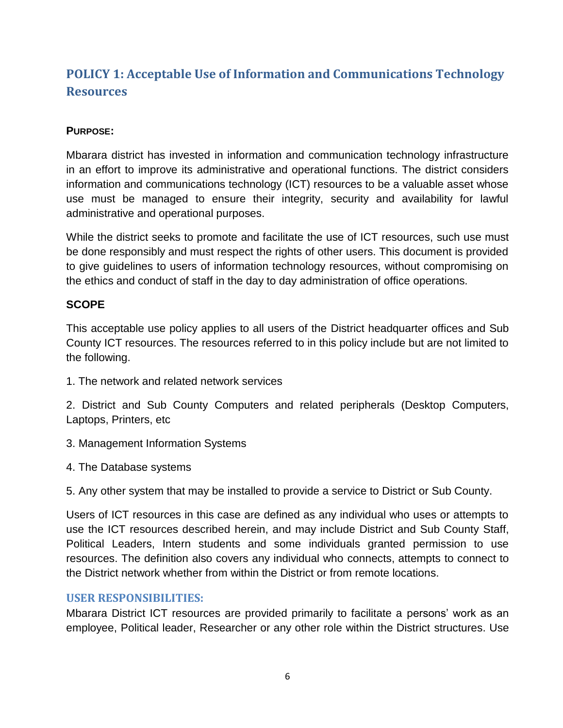# <span id="page-5-0"></span>**POLICY 1: Acceptable Use of Information and Communications Technology Resources**

#### **PURPOSE:**

Mbarara district has invested in information and communication technology infrastructure in an effort to improve its administrative and operational functions. The district considers information and communications technology (ICT) resources to be a valuable asset whose use must be managed to ensure their integrity, security and availability for lawful administrative and operational purposes.

While the district seeks to promote and facilitate the use of ICT resources, such use must be done responsibly and must respect the rights of other users. This document is provided to give guidelines to users of information technology resources, without compromising on the ethics and conduct of staff in the day to day administration of office operations.

#### **SCOPE**

This acceptable use policy applies to all users of the District headquarter offices and Sub County ICT resources. The resources referred to in this policy include but are not limited to the following.

1. The network and related network services

2. District and Sub County Computers and related peripherals (Desktop Computers, Laptops, Printers, etc

- 3. Management Information Systems
- 4. The Database systems

5. Any other system that may be installed to provide a service to District or Sub County.

Users of ICT resources in this case are defined as any individual who uses or attempts to use the ICT resources described herein, and may include District and Sub County Staff, Political Leaders, Intern students and some individuals granted permission to use resources. The definition also covers any individual who connects, attempts to connect to the District network whether from within the District or from remote locations.

#### <span id="page-5-1"></span>**USER RESPONSIBILITIES:**

Mbarara District ICT resources are provided primarily to facilitate a persons" work as an employee, Political leader, Researcher or any other role within the District structures. Use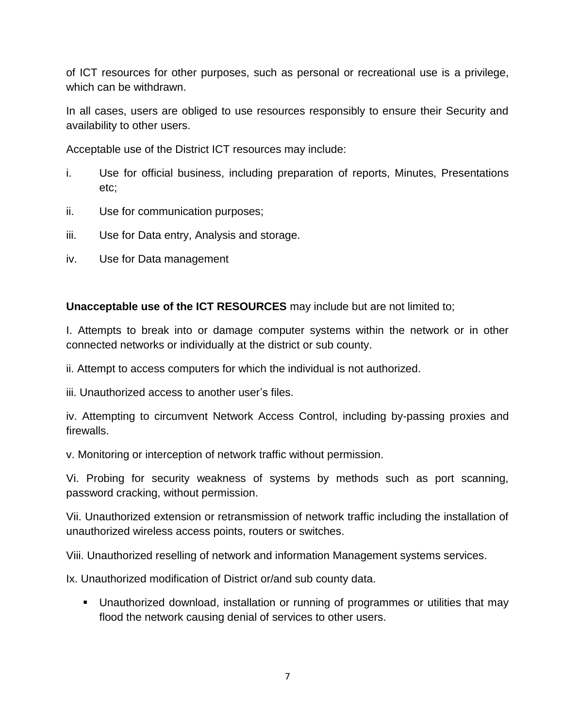of ICT resources for other purposes, such as personal or recreational use is a privilege, which can be withdrawn.

In all cases, users are obliged to use resources responsibly to ensure their Security and availability to other users.

Acceptable use of the District ICT resources may include:

- i. Use for official business, including preparation of reports, Minutes, Presentations etc;
- ii. Use for communication purposes;
- iii. Use for Data entry, Analysis and storage.
- iv. Use for Data management

**Unacceptable use of the ICT RESOURCES** may include but are not limited to;

I. Attempts to break into or damage computer systems within the network or in other connected networks or individually at the district or sub county.

ii. Attempt to access computers for which the individual is not authorized.

iii. Unauthorized access to another user"s files.

iv. Attempting to circumvent Network Access Control, including by-passing proxies and firewalls.

v. Monitoring or interception of network traffic without permission.

Vi. Probing for security weakness of systems by methods such as port scanning, password cracking, without permission.

Vii. Unauthorized extension or retransmission of network traffic including the installation of unauthorized wireless access points, routers or switches.

Viii. Unauthorized reselling of network and information Management systems services.

Ix. Unauthorized modification of District or/and sub county data.

 Unauthorized download, installation or running of programmes or utilities that may flood the network causing denial of services to other users.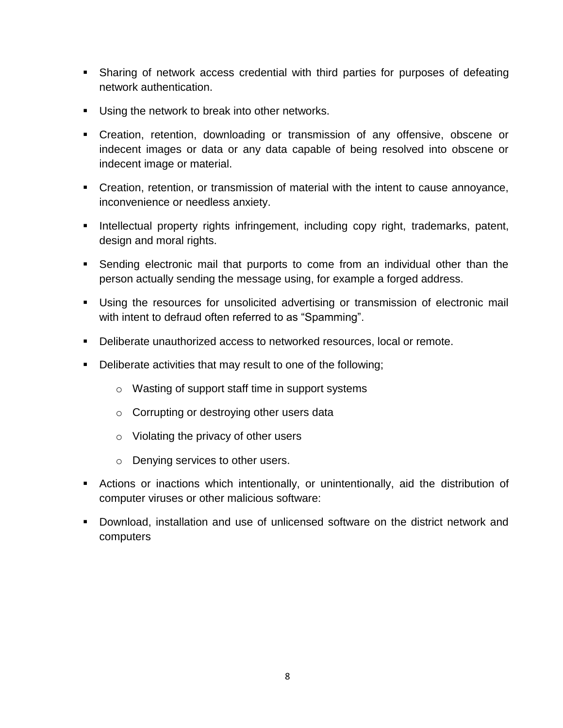- Sharing of network access credential with third parties for purposes of defeating network authentication.
- Using the network to break into other networks.
- Creation, retention, downloading or transmission of any offensive, obscene or indecent images or data or any data capable of being resolved into obscene or indecent image or material.
- Creation, retention, or transmission of material with the intent to cause annoyance, inconvenience or needless anxiety.
- **Intellectual property rights infringement, including copy right, trademarks, patent,** design and moral rights.
- Sending electronic mail that purports to come from an individual other than the person actually sending the message using, for example a forged address.
- Using the resources for unsolicited advertising or transmission of electronic mail with intent to defraud often referred to as "Spamming".
- Deliberate unauthorized access to networked resources, local or remote.
- Deliberate activities that may result to one of the following;
	- o Wasting of support staff time in support systems
	- o Corrupting or destroying other users data
	- o Violating the privacy of other users
	- o Denying services to other users.
- Actions or inactions which intentionally, or unintentionally, aid the distribution of computer viruses or other malicious software:
- Download, installation and use of unlicensed software on the district network and computers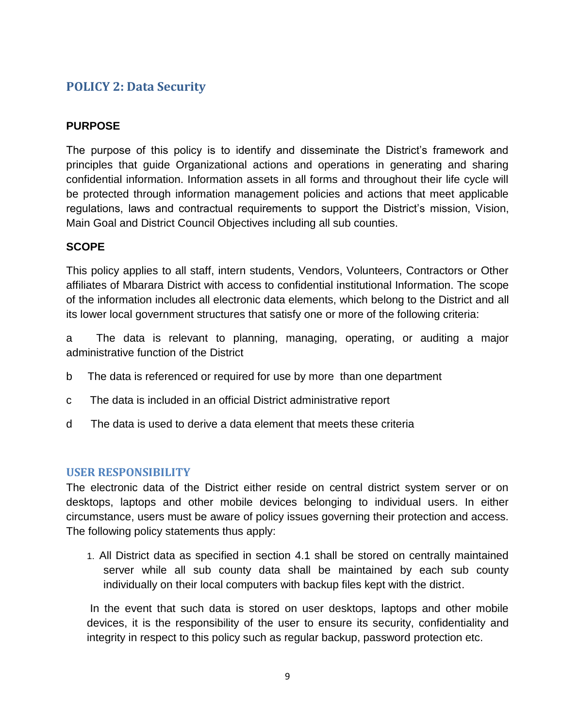### <span id="page-8-0"></span>**POLICY 2: Data Security**

#### **PURPOSE**

The purpose of this policy is to identify and disseminate the District's framework and principles that guide Organizational actions and operations in generating and sharing confidential information. Information assets in all forms and throughout their life cycle will be protected through information management policies and actions that meet applicable regulations, laws and contractual requirements to support the District's mission, Vision, Main Goal and District Council Objectives including all sub counties.

#### **SCOPE**

This policy applies to all staff, intern students, Vendors, Volunteers, Contractors or Other affiliates of Mbarara District with access to confidential institutional Information. The scope of the information includes all electronic data elements, which belong to the District and all its lower local government structures that satisfy one or more of the following criteria:

a The data is relevant to planning, managing, operating, or auditing a major administrative function of the District

- b The data is referenced or required for use by more than one department
- c The data is included in an official District administrative report
- d The data is used to derive a data element that meets these criteria

#### <span id="page-8-1"></span>**USER RESPONSIBILITY**

The electronic data of the District either reside on central district system server or on desktops, laptops and other mobile devices belonging to individual users. In either circumstance, users must be aware of policy issues governing their protection and access. The following policy statements thus apply:

1. All District data as specified in section 4.1 shall be stored on centrally maintained server while all sub county data shall be maintained by each sub county individually on their local computers with backup files kept with the district.

In the event that such data is stored on user desktops, laptops and other mobile devices, it is the responsibility of the user to ensure its security, confidentiality and integrity in respect to this policy such as regular backup, password protection etc.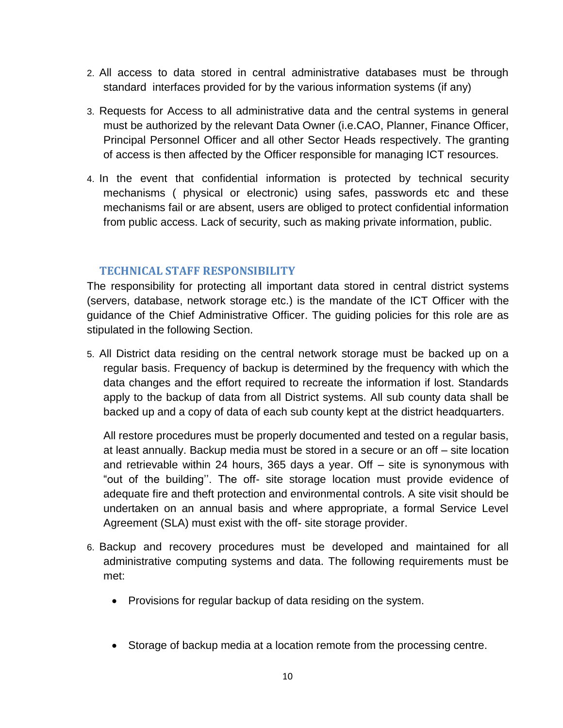- 2. All access to data stored in central administrative databases must be through standard interfaces provided for by the various information systems (if any)
- 3. Requests for Access to all administrative data and the central systems in general must be authorized by the relevant Data Owner (i.e.CAO, Planner, Finance Officer, Principal Personnel Officer and all other Sector Heads respectively. The granting of access is then affected by the Officer responsible for managing ICT resources.
- 4. In the event that confidential information is protected by technical security mechanisms ( physical or electronic) using safes, passwords etc and these mechanisms fail or are absent, users are obliged to protect confidential information from public access. Lack of security, such as making private information, public.

#### <span id="page-9-0"></span>**TECHNICAL STAFF RESPONSIBILITY**

The responsibility for protecting all important data stored in central district systems (servers, database, network storage etc.) is the mandate of the ICT Officer with the guidance of the Chief Administrative Officer. The guiding policies for this role are as stipulated in the following Section.

5. All District data residing on the central network storage must be backed up on a regular basis. Frequency of backup is determined by the frequency with which the data changes and the effort required to recreate the information if lost. Standards apply to the backup of data from all District systems. All sub county data shall be backed up and a copy of data of each sub county kept at the district headquarters.

All restore procedures must be properly documented and tested on a regular basis, at least annually. Backup media must be stored in a secure or an off – site location and retrievable within 24 hours, 365 days a year. Off – site is synonymous with "out of the building"". The off- site storage location must provide evidence of adequate fire and theft protection and environmental controls. A site visit should be undertaken on an annual basis and where appropriate, a formal Service Level Agreement (SLA) must exist with the off- site storage provider.

- 6. Backup and recovery procedures must be developed and maintained for all administrative computing systems and data. The following requirements must be met:
	- Provisions for regular backup of data residing on the system.
	- Storage of backup media at a location remote from the processing centre.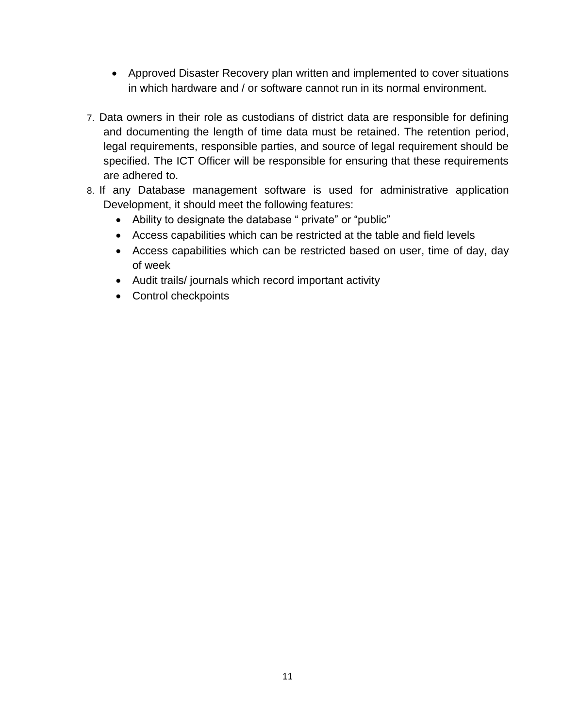- Approved Disaster Recovery plan written and implemented to cover situations in which hardware and / or software cannot run in its normal environment.
- 7. Data owners in their role as custodians of district data are responsible for defining and documenting the length of time data must be retained. The retention period, legal requirements, responsible parties, and source of legal requirement should be specified. The ICT Officer will be responsible for ensuring that these requirements are adhered to.
- 8. If any Database management software is used for administrative application Development, it should meet the following features:
	- Ability to designate the database " private" or "public"
	- Access capabilities which can be restricted at the table and field levels
	- Access capabilities which can be restricted based on user, time of day, day of week
	- Audit trails/ journals which record important activity
	- Control checkpoints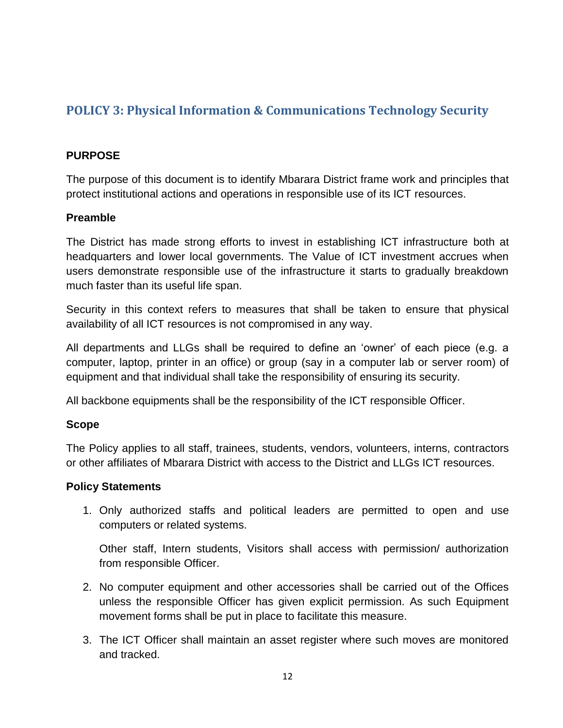## <span id="page-11-0"></span>**POLICY 3: Physical Information & Communications Technology Security**

#### **PURPOSE**

The purpose of this document is to identify Mbarara District frame work and principles that protect institutional actions and operations in responsible use of its ICT resources.

#### **Preamble**

The District has made strong efforts to invest in establishing ICT infrastructure both at headquarters and lower local governments. The Value of ICT investment accrues when users demonstrate responsible use of the infrastructure it starts to gradually breakdown much faster than its useful life span.

Security in this context refers to measures that shall be taken to ensure that physical availability of all ICT resources is not compromised in any way.

All departments and LLGs shall be required to define an "owner" of each piece (e.g. a computer, laptop, printer in an office) or group (say in a computer lab or server room) of equipment and that individual shall take the responsibility of ensuring its security.

All backbone equipments shall be the responsibility of the ICT responsible Officer.

#### **Scope**

The Policy applies to all staff, trainees, students, vendors, volunteers, interns, contractors or other affiliates of Mbarara District with access to the District and LLGs ICT resources.

#### **Policy Statements**

1. Only authorized staffs and political leaders are permitted to open and use computers or related systems.

Other staff, Intern students, Visitors shall access with permission/ authorization from responsible Officer.

- 2. No computer equipment and other accessories shall be carried out of the Offices unless the responsible Officer has given explicit permission. As such Equipment movement forms shall be put in place to facilitate this measure.
- 3. The ICT Officer shall maintain an asset register where such moves are monitored and tracked.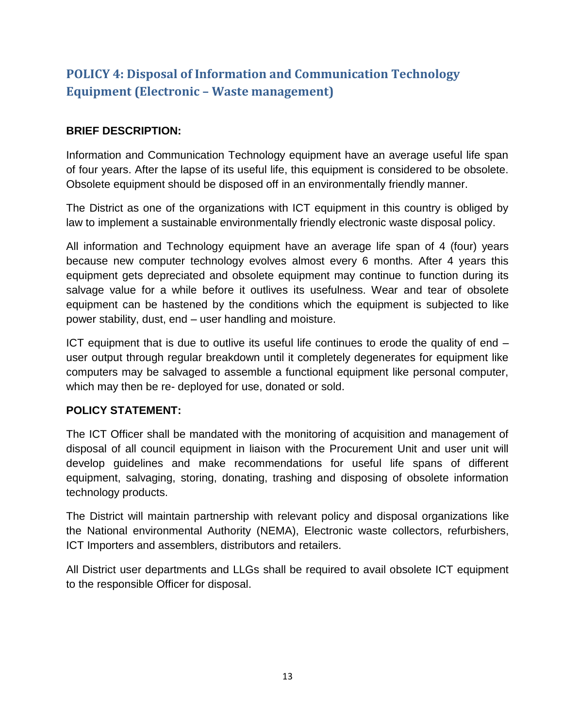# <span id="page-12-0"></span>**POLICY 4: Disposal of Information and Communication Technology Equipment (Electronic – Waste management)**

#### **BRIEF DESCRIPTION:**

Information and Communication Technology equipment have an average useful life span of four years. After the lapse of its useful life, this equipment is considered to be obsolete. Obsolete equipment should be disposed off in an environmentally friendly manner.

The District as one of the organizations with ICT equipment in this country is obliged by law to implement a sustainable environmentally friendly electronic waste disposal policy.

All information and Technology equipment have an average life span of 4 (four) years because new computer technology evolves almost every 6 months. After 4 years this equipment gets depreciated and obsolete equipment may continue to function during its salvage value for a while before it outlives its usefulness. Wear and tear of obsolete equipment can be hastened by the conditions which the equipment is subjected to like power stability, dust, end – user handling and moisture.

ICT equipment that is due to outlive its useful life continues to erode the quality of end – user output through regular breakdown until it completely degenerates for equipment like computers may be salvaged to assemble a functional equipment like personal computer, which may then be re- deployed for use, donated or sold.

#### **POLICY STATEMENT:**

The ICT Officer shall be mandated with the monitoring of acquisition and management of disposal of all council equipment in liaison with the Procurement Unit and user unit will develop guidelines and make recommendations for useful life spans of different equipment, salvaging, storing, donating, trashing and disposing of obsolete information technology products.

The District will maintain partnership with relevant policy and disposal organizations like the National environmental Authority (NEMA), Electronic waste collectors, refurbishers, ICT Importers and assemblers, distributors and retailers.

All District user departments and LLGs shall be required to avail obsolete ICT equipment to the responsible Officer for disposal.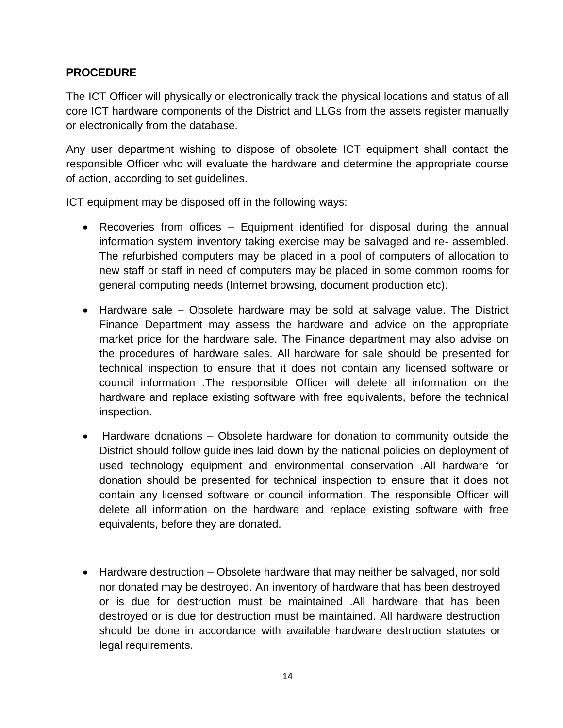#### **PROCEDURE**

The ICT Officer will physically or electronically track the physical locations and status of all core ICT hardware components of the District and LLGs from the assets register manually or electronically from the database.

Any user department wishing to dispose of obsolete ICT equipment shall contact the responsible Officer who will evaluate the hardware and determine the appropriate course of action, according to set guidelines.

ICT equipment may be disposed off in the following ways:

- Recoveries from offices Equipment identified for disposal during the annual information system inventory taking exercise may be salvaged and re- assembled. The refurbished computers may be placed in a pool of computers of allocation to new staff or staff in need of computers may be placed in some common rooms for general computing needs (Internet browsing, document production etc).
- Hardware sale Obsolete hardware may be sold at salvage value. The District Finance Department may assess the hardware and advice on the appropriate market price for the hardware sale. The Finance department may also advise on the procedures of hardware sales. All hardware for sale should be presented for technical inspection to ensure that it does not contain any licensed software or council information .The responsible Officer will delete all information on the hardware and replace existing software with free equivalents, before the technical inspection.
- Hardware donations Obsolete hardware for donation to community outside the District should follow guidelines laid down by the national policies on deployment of used technology equipment and environmental conservation .All hardware for donation should be presented for technical inspection to ensure that it does not contain any licensed software or council information. The responsible Officer will delete all information on the hardware and replace existing software with free equivalents, before they are donated.
- Hardware destruction Obsolete hardware that may neither be salvaged, nor sold nor donated may be destroyed. An inventory of hardware that has been destroyed or is due for destruction must be maintained .All hardware that has been destroyed or is due for destruction must be maintained. All hardware destruction should be done in accordance with available hardware destruction statutes or legal requirements.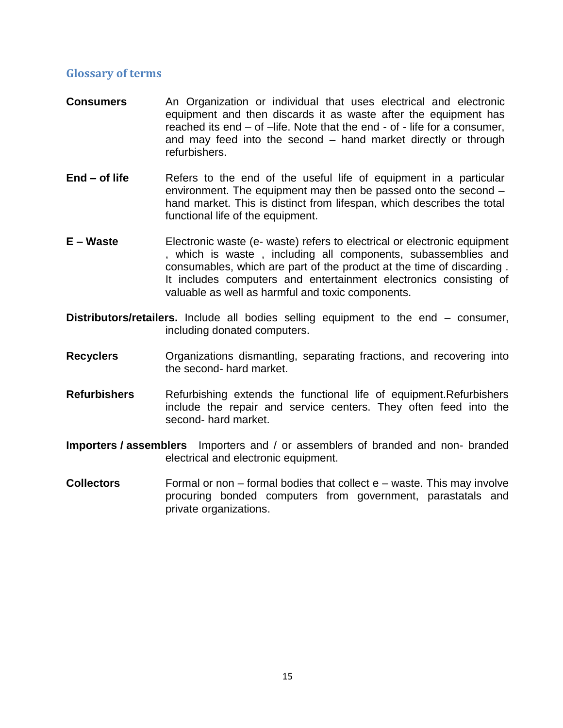#### <span id="page-14-0"></span>**Glossary of terms**

- **Consumers** An Organization or individual that uses electrical and electronic equipment and then discards it as waste after the equipment has reached its end – of –life. Note that the end - of - life for a consumer, and may feed into the second – hand market directly or through refurbishers.
- **End of life** Refers to the end of the useful life of equipment in a particular environment. The equipment may then be passed onto the second – hand market. This is distinct from lifespan, which describes the total functional life of the equipment.
- **E – Waste** Electronic waste (e- waste) refers to electrical or electronic equipment , which is waste , including all components, subassemblies and consumables, which are part of the product at the time of discarding . It includes computers and entertainment electronics consisting of valuable as well as harmful and toxic components.
- **Distributors/retailers.** Include all bodies selling equipment to the end consumer, including donated computers.
- **Recyclers** Organizations dismantling, separating fractions, and recovering into the second- hard market.
- **Refurbishers** Refurbishing extends the functional life of equipment.Refurbishers include the repair and service centers. They often feed into the second- hard market.
- **Importers / assemblers** Importers and / or assemblers of branded and non- branded electrical and electronic equipment.
- **Collectors** Formal or non formal bodies that collect e waste. This may involve procuring bonded computers from government, parastatals and private organizations.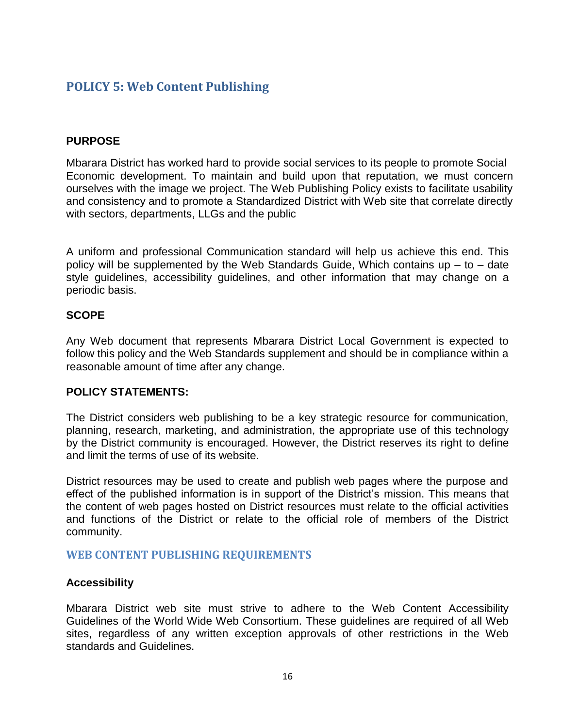### <span id="page-15-0"></span>**POLICY 5: Web Content Publishing**

#### **PURPOSE**

Mbarara District has worked hard to provide social services to its people to promote Social Economic development. To maintain and build upon that reputation, we must concern ourselves with the image we project. The Web Publishing Policy exists to facilitate usability and consistency and to promote a Standardized District with Web site that correlate directly with sectors, departments, LLGs and the public

A uniform and professional Communication standard will help us achieve this end. This policy will be supplemented by the Web Standards Guide, Which contains up  $-$  to  $-$  date style guidelines, accessibility guidelines, and other information that may change on a periodic basis.

#### **SCOPE**

Any Web document that represents Mbarara District Local Government is expected to follow this policy and the Web Standards supplement and should be in compliance within a reasonable amount of time after any change.

#### **POLICY STATEMENTS:**

The District considers web publishing to be a key strategic resource for communication, planning, research, marketing, and administration, the appropriate use of this technology by the District community is encouraged. However, the District reserves its right to define and limit the terms of use of its website.

District resources may be used to create and publish web pages where the purpose and effect of the published information is in support of the District's mission. This means that the content of web pages hosted on District resources must relate to the official activities and functions of the District or relate to the official role of members of the District community.

#### <span id="page-15-1"></span>**WEB CONTENT PUBLISHING REQUIREMENTS**

#### **Accessibility**

Mbarara District web site must strive to adhere to the Web Content Accessibility Guidelines of the World Wide Web Consortium. These guidelines are required of all Web sites, regardless of any written exception approvals of other restrictions in the Web standards and Guidelines.